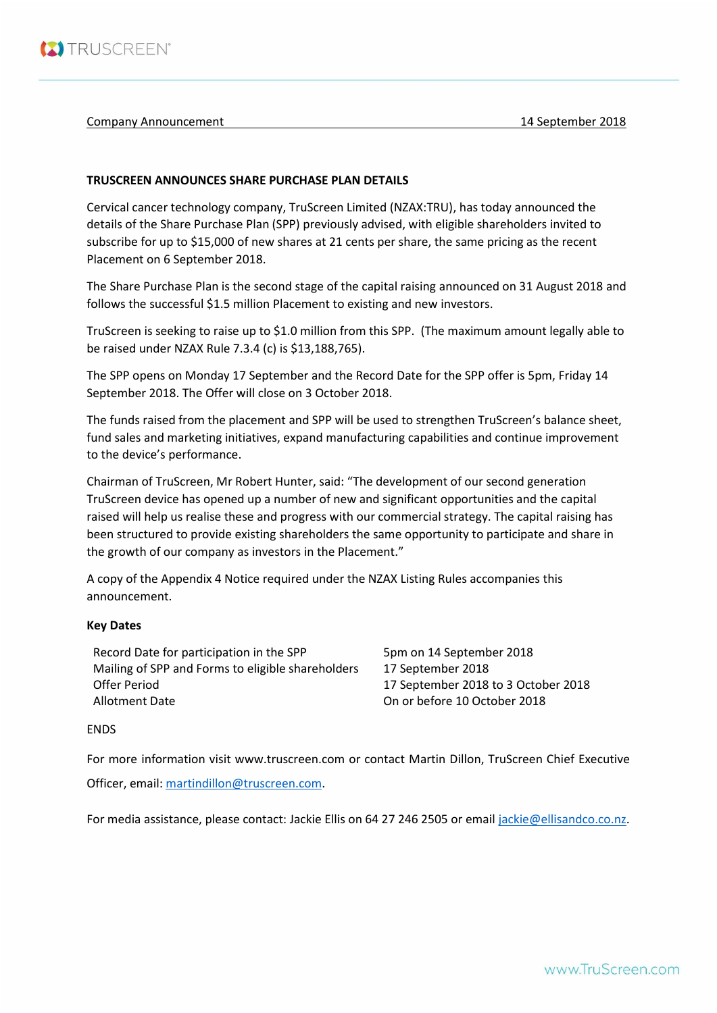

# Company Announcement 14 September 2018

# **TRUSCREEN ANNOUNCES SHARE PURCHASE PLAN DETAILS**

Cervical cancer technology company, TruScreen Limited (NZAX:TRU), has today announced the details of the Share Purchase Plan (SPP) previously advised, with eligible shareholders invited to subscribe for up to \$15,000 of new shares at 21 cents per share, the same pricing as the recent Placement on 6 September 2018.

The Share Purchase Plan is the second stage of the capital raising announced on 31 August 2018 and follows the successful \$1.5 million Placement to existing and new investors.

TruScreen is seeking to raise up to \$1.0 million from this SPP. (The maximum amount legally able to be raised under NZAX Rule 7.3.4 (c) is \$13,188,765).

The SPP opens on Monday 17 September and the Record Date for the SPP offer is 5pm, Friday 14 September 2018. The Offer will close on 3 October 2018.

The funds raised from the placement and SPP will be used to strengthen TruScreen's balance sheet, fund sales and marketing initiatives, expand manufacturing capabilities and continue improvement to the device's performance.

Chairman of TruScreen, Mr Robert Hunter, said: "The development of our second generation TruScreen device has opened up a number of new and significant opportunities and the capital raised will help us realise these and progress with our commercial strategy. The capital raising has been structured to provide existing shareholders the same opportunity to participate and share in the growth of our company as investors in the Placement."

A copy of the Appendix 4 Notice required under the NZAX Listing Rules accompanies this announcement.

# **Key Dates**

Record Date for participation in the SPP 5pm on 14 September 2018 Mailing of SPP and Forms to eligible shareholders 17 September 2018 Offer Period 17 September 2018 to 3 October 2018 Allotment Date On or before 10 October 2018

# ENDS

For more information visit www.truscreen.com or contact Martin Dillon, TruScreen Chief Executive

Officer, email[: martindillon@truscreen.com.](mailto:martindillon@truscreen.com)

For media assistance, please contact: Jackie Ellis on 64 27 246 2505 or emai[l jackie@ellisandco.co.nz.](mailto:jackie@ellisandco.co.nz)